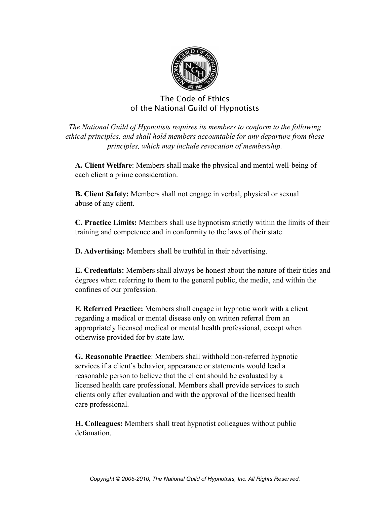

### The Code of Ethics of the National Guild of Hypnotists

*The National Guild of Hypnotists requires its members to conform to the following ethical principles, and shall hold members accountable for any departure from these principles, which may include revocation of membership.*

**A. Client Welfare**: Members shall make the physical and mental well-being of each client a prime consideration.

**B. Client Safety:** Members shall not engage in verbal, physical or sexual abuse of any client.

**C. Practice Limits:** Members shall use hypnotism strictly within the limits of their training and competence and in conformity to the laws of their state.

**D. Advertising:** Members shall be truthful in their advertising.

**E. Credentials:** Members shall always be honest about the nature of their titles and degrees when referring to them to the general public, the media, and within the confines of our profession.

**F. Referred Practice:** Members shall engage in hypnotic work with a client regarding a medical or mental disease only on written referral from an appropriately licensed medical or mental health professional, except when otherwise provided for by state law.

**G. Reasonable Practice**: Members shall withhold non-referred hypnotic services if a client's behavior, appearance or statements would lead a reasonable person to believe that the client should be evaluated by a licensed health care professional. Members shall provide services to such clients only after evaluation and with the approval of the licensed health care professional.

**H. Colleagues:** Members shall treat hypnotist colleagues without public defamation.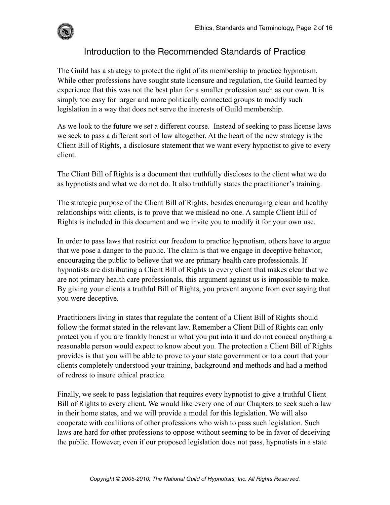

# Introduction to the Recommended Standards of Practice

The Guild has a strategy to protect the right of its membership to practice hypnotism. While other professions have sought state licensure and regulation, the Guild learned by experience that this was not the best plan for a smaller profession such as our own. It is simply too easy for larger and more politically connected groups to modify such legislation in a way that does not serve the interests of Guild membership.

As we look to the future we set a different course. Instead of seeking to pass license laws we seek to pass a different sort of law altogether. At the heart of the new strategy is the Client Bill of Rights, a disclosure statement that we want every hypnotist to give to every client.

The Client Bill of Rights is a document that truthfully discloses to the client what we do as hypnotists and what we do not do. It also truthfully states the practitioner's training.

The strategic purpose of the Client Bill of Rights, besides encouraging clean and healthy relationships with clients, is to prove that we mislead no one. A sample Client Bill of Rights is included in this document and we invite you to modify it for your own use.

In order to pass laws that restrict our freedom to practice hypnotism, others have to argue that we pose a danger to the public. The claim is that we engage in deceptive behavior, encouraging the public to believe that we are primary health care professionals. If hypnotists are distributing a Client Bill of Rights to every client that makes clear that we are not primary health care professionals, this argument against us is impossible to make. By giving your clients a truthful Bill of Rights, you prevent anyone from ever saying that you were deceptive.

Practitioners living in states that regulate the content of a Client Bill of Rights should follow the format stated in the relevant law. Remember a Client Bill of Rights can only protect you if you are frankly honest in what you put into it and do not conceal anything a reasonable person would expect to know about you. The protection a Client Bill of Rights provides is that you will be able to prove to your state government or to a court that your clients completely understood your training, background and methods and had a method of redress to insure ethical practice.

Finally, we seek to pass legislation that requires every hypnotist to give a truthful Client Bill of Rights to every client. We would like every one of our Chapters to seek such a law in their home states, and we will provide a model for this legislation. We will also cooperate with coalitions of other professions who wish to pass such legislation. Such laws are hard for other professions to oppose without seeming to be in favor of deceiving the public. However, even if our proposed legislation does not pass, hypnotists in a state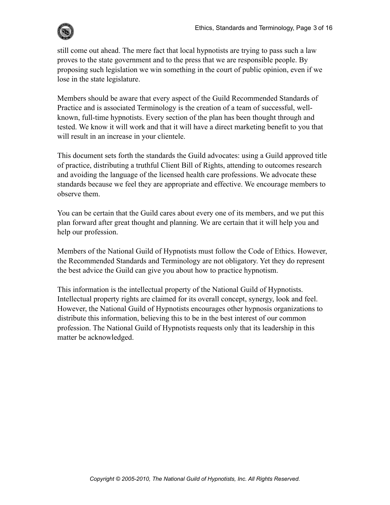

still come out ahead. The mere fact that local hypnotists are trying to pass such a law proves to the state government and to the press that we are responsible people. By proposing such legislation we win something in the court of public opinion, even if we lose in the state legislature.

Members should be aware that every aspect of the Guild Recommended Standards of Practice and is associated Terminology is the creation of a team of successful, wellknown, full-time hypnotists. Every section of the plan has been thought through and tested. We know it will work and that it will have a direct marketing benefit to you that will result in an increase in your clientele.

This document sets forth the standards the Guild advocates: using a Guild approved title of practice, distributing a truthful Client Bill of Rights, attending to outcomes research and avoiding the language of the licensed health care professions. We advocate these standards because we feel they are appropriate and effective. We encourage members to observe them.

You can be certain that the Guild cares about every one of its members, and we put this plan forward after great thought and planning. We are certain that it will help you and help our profession.

Members of the National Guild of Hypnotists must follow the Code of Ethics. However, the Recommended Standards and Terminology are not obligatory. Yet they do represent the best advice the Guild can give you about how to practice hypnotism.

This information is the intellectual property of the National Guild of Hypnotists. Intellectual property rights are claimed for its overall concept, synergy, look and feel. However, the National Guild of Hypnotists encourages other hypnosis organizations to distribute this information, believing this to be in the best interest of our common profession. The National Guild of Hypnotists requests only that its leadership in this matter be acknowledged.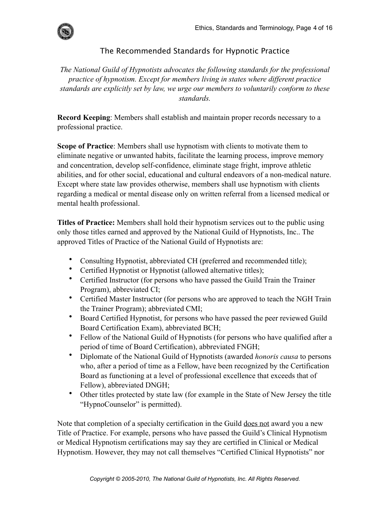

#### The Recommended Standards for Hypnotic Practice

*The National Guild of Hypnotists advocates the following standards for the professional practice of hypnotism. Except for members living in states where different practice standards are explicitly set by law, we urge our members to voluntarily conform to these standards.*

**Record Keeping**: Members shall establish and maintain proper records necessary to a professional practice.

**Scope of Practice**: Members shall use hypnotism with clients to motivate them to eliminate negative or unwanted habits, facilitate the learning process, improve memory and concentration, develop self-confidence, eliminate stage fright, improve athletic abilities, and for other social, educational and cultural endeavors of a non-medical nature. Except where state law provides otherwise, members shall use hypnotism with clients regarding a medical or mental disease only on written referral from a licensed medical or mental health professional.

**Titles of Practice:** Members shall hold their hypnotism services out to the public using only those titles earned and approved by the National Guild of Hypnotists, Inc.. The approved Titles of Practice of the National Guild of Hypnotists are:

- Consulting Hypnotist, abbreviated CH (preferred and recommended title);
- Certified Hypnotist or Hypnotist (allowed alternative titles);
- Certified Instructor (for persons who have passed the Guild Train the Trainer Program), abbreviated CI;
- Certified Master Instructor (for persons who are approved to teach the NGH Train the Trainer Program); abbreviated CMI;
- Board Certified Hypnotist, for persons who have passed the peer reviewed Guild Board Certification Exam), abbreviated BCH;
- Fellow of the National Guild of Hypnotists (for persons who have qualified after a period of time of Board Certification), abbreviated FNGH;
- Diplomate of the National Guild of Hypnotists (awarded *honoris causa* to persons who, after a period of time as a Fellow, have been recognized by the Certification Board as functioning at a level of professional excellence that exceeds that of Fellow), abbreviated DNGH;
- Other titles protected by state law (for example in the State of New Jersey the title "HypnoCounselor" is permitted).

Note that completion of a specialty certification in the Guild does not award you a new Title of Practice. For example, persons who have passed the Guild's Clinical Hypnotism or Medical Hypnotism certifications may say they are certified in Clinical or Medical Hypnotism. However, they may not call themselves "Certified Clinical Hypnotists" nor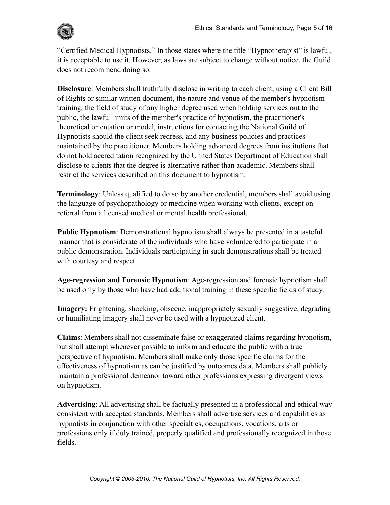

"Certified Medical Hypnotists." In those states where the title "Hypnotherapist" is lawful, it is acceptable to use it. However, as laws are subject to change without notice, the Guild does not recommend doing so.

**Disclosure**: Members shall truthfully disclose in writing to each client, using a Client Bill of Rights or similar written document, the nature and venue of the member's hypnotism training, the field of study of any higher degree used when holding services out to the public, the lawful limits of the member's practice of hypnotism, the practitioner's theoretical orientation or model, instructions for contacting the National Guild of Hypnotists should the client seek redress, and any business policies and practices maintained by the practitioner. Members holding advanced degrees from institutions that do not hold accreditation recognized by the United States Department of Education shall disclose to clients that the degree is alternative rather than academic. Members shall restrict the services described on this document to hypnotism.

**Terminology**: Unless qualified to do so by another credential, members shall avoid using the language of psychopathology or medicine when working with clients, except on referral from a licensed medical or mental health professional.

**Public Hypnotism**: Demonstrational hypnotism shall always be presented in a tasteful manner that is considerate of the individuals who have volunteered to participate in a public demonstration. Individuals participating in such demonstrations shall be treated with courtesy and respect.

**Age-regression and Forensic Hypnotism**: Age-regression and forensic hypnotism shall be used only by those who have had additional training in these specific fields of study.

**Imagery:** Frightening, shocking, obscene, inappropriately sexually suggestive, degrading or humiliating imagery shall never be used with a hypnotized client.

**Claims**: Members shall not disseminate false or exaggerated claims regarding hypnotism, but shall attempt whenever possible to inform and educate the public with a true perspective of hypnotism. Members shall make only those specific claims for the effectiveness of hypnotism as can be justified by outcomes data. Members shall publicly maintain a professional demeanor toward other professions expressing divergent views on hypnotism.

**Advertising**: All advertising shall be factually presented in a professional and ethical way consistent with accepted standards. Members shall advertise services and capabilities as hypnotists in conjunction with other specialties, occupations, vocations, arts or professions only if duly trained, properly qualified and professionally recognized in those fields.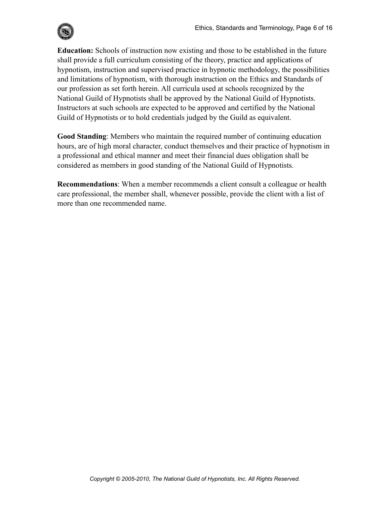

**Education:** Schools of instruction now existing and those to be established in the future shall provide a full curriculum consisting of the theory, practice and applications of hypnotism, instruction and supervised practice in hypnotic methodology, the possibilities and limitations of hypnotism, with thorough instruction on the Ethics and Standards of our profession as set forth herein. All curricula used at schools recognized by the National Guild of Hypnotists shall be approved by the National Guild of Hypnotists. Instructors at such schools are expected to be approved and certified by the National Guild of Hypnotists or to hold credentials judged by the Guild as equivalent.

**Good Standing**: Members who maintain the required number of continuing education hours, are of high moral character, conduct themselves and their practice of hypnotism in a professional and ethical manner and meet their financial dues obligation shall be considered as members in good standing of the National Guild of Hypnotists.

**Recommendations**: When a member recommends a client consult a colleague or health care professional, the member shall, whenever possible, provide the client with a list of more than one recommended name.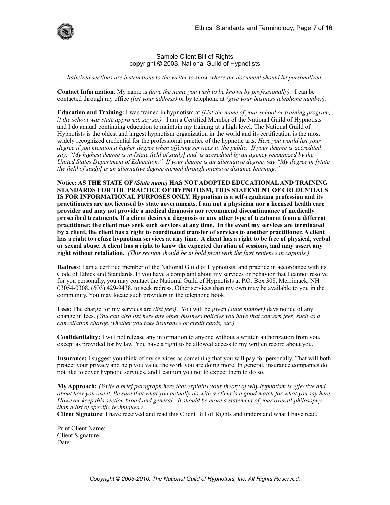

#### Sample Client Bill of Rights copyright © 2003, National Guild of Hypnotists

*Italicized sections are instructions to the writer to show where the document should be personalized.*

**Contact Information**: My name is *(give the name you wish to be known by professionally).* I can be contacted through my office *(list your address)* or by telephone at *(give your business telephone number).* 

**Education and Training:** I was trained in hypnotism at *(List the name of your school or training program; if the school was state approved, say so.).* I am a Certified Member of the National Guild of Hypnotists and I do annual continuing education to maintain my training at a high level. The National Guild of Hypnotists is the oldest and largest hypnotism organization in the world and its certification is the most widely recognized credential for the professional practice of the hypnotic arts. *Here you would list your degree if you mention a higher degree when offering services to the public. If your degree is accredited say: "My highest degree is in [state field of study] and is accredited by an agency recognized by the United States Department of Education." If your degree is an alternative degree, say "My degree in [state the field of study] is an alternative degree earned through intensive distance learning."* 

**Notice: AS THE STATE OF** *(State name)* **HAS NOT ADOPTED EDUCATIONAL AND TRAINING STANDARDS FOR THE PRACTICE OF HYPNOTISM, THIS STATEMENT OF CREDENTIALS IS FOR INFORMATIONAL PURPOSES ONLY. Hypnotism is a self-regulating profession and its practitioners are not licensed by state governments. I am not a physician nor a licensed health care provider and may not provide a medical diagnosis nor recommend discontinuance of medically prescribed treatments. If a client desires a diagnosis or any other type of treatment from a different practitioner, the client may seek such services at any time. In the event my services are terminated by a client, the client has a right to coordinated transfer of services to another practitioner. A client has a right to refuse hypnotism services at any time. A client has a right to be free of physical, verbal or sexual abuse. A client has a right to know the expected duration of sessions, and may assert any right without retaliation.** *(This section should be in bold print with the first sentence in capitals.)* 

**Redress**: I am a certified member of the National Guild of Hypnotists, and practice in accordance with its Code of Ethics and Standards. If you have a complaint about my services or behavior that I cannot resolve for you personally, you may contact the National Guild of Hypnotists at P.O. Box 308, Merrimack, NH 03054-0308, (603) 429-9438, to seek redress. Other services than my own may be available to you in the community. You may locate such providers in the telephone book.

**Fees:** The charge for my services are *(list fees).* You will be given *(state number)* days notice of any change in fees. *(You can also list here any other business policies you have that concern fees, such as a cancellation charge, whether you take insurance or credit cards, etc.)* 

**Confidentiality:** I will not release any information to anyone without a written authorization from you, except as provided for by law. You have a right to be allowed access to my written record about you.

**Insurance:** I suggest you think of my services as something that you will pay for personally. That will both protect your privacy and help you value the work you are doing more. In general, insurance companies do not like to cover hypnotic services, and I caution you not to expect them to do so.

**My Approach:** *(Write a brief paragraph here that explains your theory of why hypnotism is effective and about how you use it. Be sure that what you actually do with a client is a good match for what you say here. However keep this section broad and general. It should be more a statement of your overall philosophy than a list of specific techniques.)* 

**Client Signature**: I have received and read this Client Bill of Rights and understand what I have read.

Print Client Name: Client Signature: Date: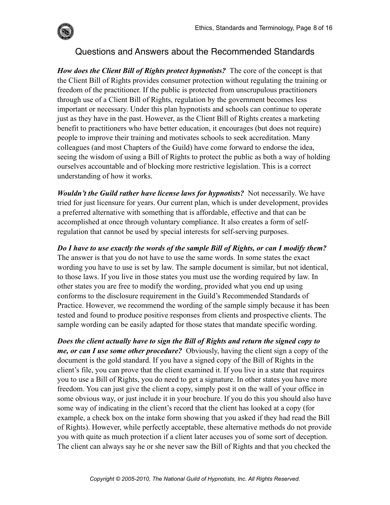

## Questions and Answers about the Recommended Standards

*How does the Client Bill of Rights protect hypnotists?* The core of the concept is that the Client Bill of Rights provides consumer protection without regulating the training or freedom of the practitioner. If the public is protected from unscrupulous practitioners through use of a Client Bill of Rights, regulation by the government becomes less important or necessary. Under this plan hypnotists and schools can continue to operate just as they have in the past. However, as the Client Bill of Rights creates a marketing benefit to practitioners who have better education, it encourages (but does not require) people to improve their training and motivates schools to seek accreditation. Many colleagues (and most Chapters of the Guild) have come forward to endorse the idea, seeing the wisdom of using a Bill of Rights to protect the public as both a way of holding ourselves accountable and of blocking more restrictive legislation. This is a correct understanding of how it works.

*Wouldn't the Guild rather have license laws for hypnotists?* Not necessarily. We have tried for just licensure for years. Our current plan, which is under development, provides a preferred alternative with something that is affordable, effective and that can be accomplished at once through voluntary compliance. It also creates a form of selfregulation that cannot be used by special interests for self-serving purposes.

*Do I have to use exactly the words of the sample Bill of Rights, or can I modify them?*  The answer is that you do not have to use the same words. In some states the exact wording you have to use is set by law. The sample document is similar, but not identical, to those laws. If you live in those states you must use the wording required by law. In other states you are free to modify the wording, provided what you end up using conforms to the disclosure requirement in the Guild's Recommended Standards of Practice. However, we recommend the wording of the sample simply because it has been tested and found to produce positive responses from clients and prospective clients. The sample wording can be easily adapted for those states that mandate specific wording.

*Does the client actually have to sign the Bill of Rights and return the signed copy to me, or can I use some other procedure?* Obviously, having the client sign a copy of the document is the gold standard. If you have a signed copy of the Bill of Rights in the client's file, you can prove that the client examined it. If you live in a state that requires you to use a Bill of Rights, you do need to get a signature. In other states you have more freedom. You can just give the client a copy, simply post it on the wall of your office in some obvious way, or just include it in your brochure. If you do this you should also have some way of indicating in the client's record that the client has looked at a copy (for example, a check box on the intake form showing that you asked if they had read the Bill of Rights). However, while perfectly acceptable, these alternative methods do not provide you with quite as much protection if a client later accuses you of some sort of deception. The client can always say he or she never saw the Bill of Rights and that you checked the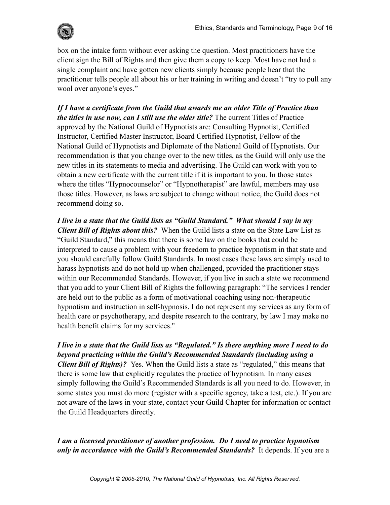

box on the intake form without ever asking the question. Most practitioners have the client sign the Bill of Rights and then give them a copy to keep. Most have not had a single complaint and have gotten new clients simply because people hear that the practitioner tells people all about his or her training in writing and doesn't "try to pull any wool over anyone's eyes."

*If I have a certificate from the Guild that awards me an older Title of Practice than the titles in use now, can I still use the older title?* The current Titles of Practice approved by the National Guild of Hypnotists are: Consulting Hypnotist, Certified Instructor, Certified Master Instructor, Board Certified Hypnotist, Fellow of the National Guild of Hypnotists and Diplomate of the National Guild of Hypnotists. Our recommendation is that you change over to the new titles, as the Guild will only use the new titles in its statements to media and advertising. The Guild can work with you to obtain a new certificate with the current title if it is important to you. In those states where the titles "Hypnocounselor" or "Hypnotherapist" are lawful, members may use those titles. However, as laws are subject to change without notice, the Guild does not recommend doing so.

*I live in a state that the Guild lists as "Guild Standard." What should I say in my Client Bill of Rights about this?* When the Guild lists a state on the State Law List as "Guild Standard," this means that there is some law on the books that could be interpreted to cause a problem with your freedom to practice hypnotism in that state and you should carefully follow Guild Standards. In most cases these laws are simply used to harass hypnotists and do not hold up when challenged, provided the practitioner stays within our Recommended Standards. However, if you live in such a state we recommend that you add to your Client Bill of Rights the following paragraph: "The services I render are held out to the public as a form of motivational coaching using non-therapeutic hypnotism and instruction in self-hypnosis. I do not represent my services as any form of health care or psychotherapy, and despite research to the contrary, by law I may make no health benefit claims for my services."

*I live in a state that the Guild lists as "Regulated." Is there anything more I need to do beyond practicing within the Guild's Recommended Standards (including using a Client Bill of Rights)?* Yes. When the Guild lists a state as "regulated," this means that there is some law that explicitly regulates the practice of hypnotism. In many cases simply following the Guild's Recommended Standards is all you need to do. However, in some states you must do more (register with a specific agency, take a test, etc.). If you are not aware of the laws in your state, contact your Guild Chapter for information or contact the Guild Headquarters directly.

### *I am a licensed practitioner of another profession. Do I need to practice hypnotism only in accordance with the Guild's Recommended Standards?* It depends. If you are a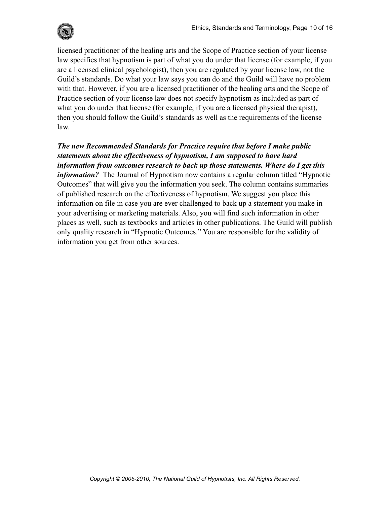

licensed practitioner of the healing arts and the Scope of Practice section of your license law specifies that hypnotism is part of what you do under that license (for example, if you are a licensed clinical psychologist), then you are regulated by your license law, not the Guild's standards. Do what your law says you can do and the Guild will have no problem with that. However, if you are a licensed practitioner of the healing arts and the Scope of Practice section of your license law does not specify hypnotism as included as part of what you do under that license (for example, if you are a licensed physical therapist), then you should follow the Guild's standards as well as the requirements of the license law.

*The new Recommended Standards for Practice require that before I make public statements about the effectiveness of hypnotism, I am supposed to have hard information from outcomes research to back up those statements. Where do I get this information?* The Journal of Hypnotism now contains a regular column titled "Hypnotic Outcomes" that will give you the information you seek. The column contains summaries of published research on the effectiveness of hypnotism. We suggest you place this information on file in case you are ever challenged to back up a statement you make in your advertising or marketing materials. Also, you will find such information in other places as well, such as textbooks and articles in other publications. The Guild will publish only quality research in "Hypnotic Outcomes." You are responsible for the validity of information you get from other sources.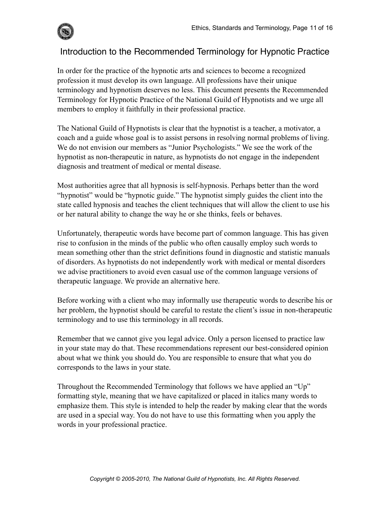

## Introduction to the Recommended Terminology for Hypnotic Practice

In order for the practice of the hypnotic arts and sciences to become a recognized profession it must develop its own language. All professions have their unique terminology and hypnotism deserves no less. This document presents the Recommended Terminology for Hypnotic Practice of the National Guild of Hypnotists and we urge all members to employ it faithfully in their professional practice.

The National Guild of Hypnotists is clear that the hypnotist is a teacher, a motivator, a coach and a guide whose goal is to assist persons in resolving normal problems of living. We do not envision our members as "Junior Psychologists." We see the work of the hypnotist as non-therapeutic in nature, as hypnotists do not engage in the independent diagnosis and treatment of medical or mental disease.

Most authorities agree that all hypnosis is self-hypnosis. Perhaps better than the word "hypnotist" would be "hypnotic guide." The hypnotist simply guides the client into the state called hypnosis and teaches the client techniques that will allow the client to use his or her natural ability to change the way he or she thinks, feels or behaves.

Unfortunately, therapeutic words have become part of common language. This has given rise to confusion in the minds of the public who often causally employ such words to mean something other than the strict definitions found in diagnostic and statistic manuals of disorders. As hypnotists do not independently work with medical or mental disorders we advise practitioners to avoid even casual use of the common language versions of therapeutic language. We provide an alternative here.

Before working with a client who may informally use therapeutic words to describe his or her problem, the hypnotist should be careful to restate the client's issue in non-therapeutic terminology and to use this terminology in all records.

Remember that we cannot give you legal advice. Only a person licensed to practice law in your state may do that. These recommendations represent our best-considered opinion about what we think you should do. You are responsible to ensure that what you do corresponds to the laws in your state.

Throughout the Recommended Terminology that follows we have applied an "Up" formatting style, meaning that we have capitalized or placed in italics many words to emphasize them. This style is intended to help the reader by making clear that the words are used in a special way. You do not have to use this formatting when you apply the words in your professional practice.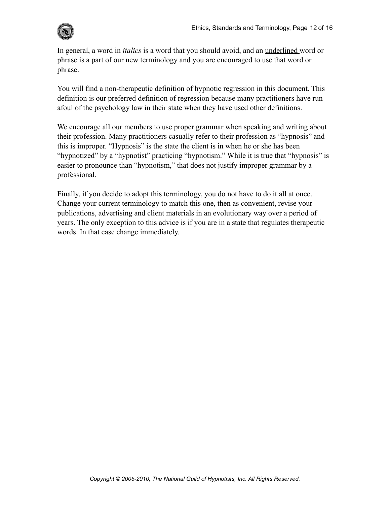In general, a word in *italics* is a word that you should avoid, and an underlined word or phrase is a part of our new terminology and you are encouraged to use that word or phrase.

You will find a non-therapeutic definition of hypnotic regression in this document. This definition is our preferred definition of regression because many practitioners have run afoul of the psychology law in their state when they have used other definitions.

We encourage all our members to use proper grammar when speaking and writing about their profession. Many practitioners casually refer to their profession as "hypnosis" and this is improper. "Hypnosis" is the state the client is in when he or she has been "hypnotized" by a "hypnotist" practicing "hypnotism." While it is true that "hypnosis" is easier to pronounce than "hypnotism," that does not justify improper grammar by a professional.

Finally, if you decide to adopt this terminology, you do not have to do it all at once. Change your current terminology to match this one, then as convenient, revise your publications, advertising and client materials in an evolutionary way over a period of years. The only exception to this advice is if you are in a state that regulates therapeutic words. In that case change immediately.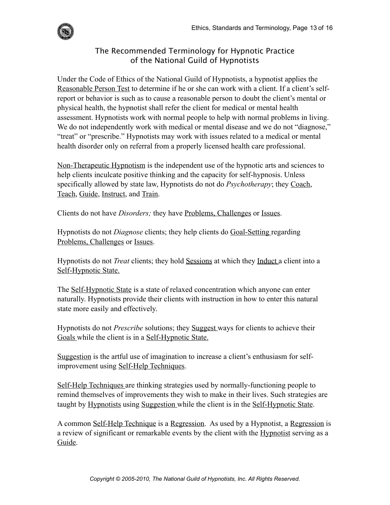

#### The Recommended Terminology for Hypnotic Practice of the National Guild of Hypnotists

Under the Code of Ethics of the National Guild of Hypnotists, a hypnotist applies the Reasonable Person Test to determine if he or she can work with a client. If a client's selfreport or behavior is such as to cause a reasonable person to doubt the client's mental or physical health, the hypnotist shall refer the client for medical or mental health assessment. Hypnotists work with normal people to help with normal problems in living. We do not independently work with medical or mental disease and we do not "diagnose," "treat" or "prescribe." Hypnotists may work with issues related to a medical or mental health disorder only on referral from a properly licensed health care professional.

Non-Therapeutic Hypnotism is the independent use of the hypnotic arts and sciences to help clients inculcate positive thinking and the capacity for self-hypnosis. Unless specifically allowed by state law, Hypnotists do not do *Psychotherapy*; they Coach, Teach, Guide, Instruct, and Train.

Clients do not have *Disorders;* they have Problems, Challenges or Issues.

Hypnotists do not *Diagnose* clients; they help clients do Goal-Setting regarding Problems, Challenges or Issues.

Hypnotists do not *Treat* clients; they hold Sessions at which they Induct a client into a Self-Hypnotic State.

The Self-Hypnotic State is a state of relaxed concentration which anyone can enter naturally. Hypnotists provide their clients with instruction in how to enter this natural state more easily and effectively.

Hypnotists do not *Prescribe* solutions; they Suggest ways for clients to achieve their Goals while the client is in a Self-Hypnotic State.

Suggestion is the artful use of imagination to increase a client's enthusiasm for selfimprovement using Self-Help Techniques.

Self-Help Techniques are thinking strategies used by normally-functioning people to remind themselves of improvements they wish to make in their lives. Such strategies are taught by Hypnotists using Suggestion while the client is in the Self-Hypnotic State.

A common Self-Help Technique is a Regression. As used by a Hypnotist, a Regression is a review of significant or remarkable events by the client with the Hypnotist serving as a Guide.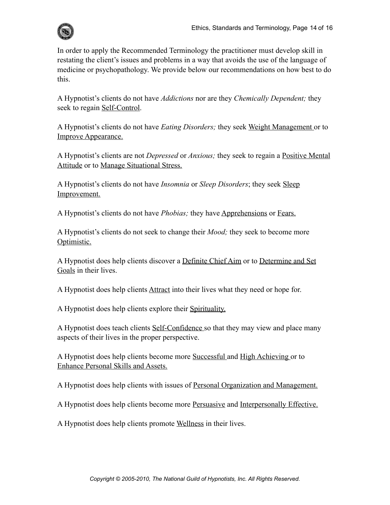

In order to apply the Recommended Terminology the practitioner must develop skill in restating the client's issues and problems in a way that avoids the use of the language of medicine or psychopathology. We provide below our recommendations on how best to do this.

A Hypnotist's clients do not have *Addictions* nor are they *Chemically Dependent;* they seek to regain **Self-Control**.

A Hypnotist's clients do not have *Eating Disorders;* they seek Weight Management or to Improve Appearance.

A Hypnotist's clients are not *Depressed* or *Anxious;* they seek to regain a Positive Mental Attitude or to Manage Situational Stress.

A Hypnotist's clients do not have *Insomnia* or *Sleep Disorders*; they seek Sleep Improvement.

A Hypnotist's clients do not have *Phobias;* they have Apprehensions or Fears.

A Hypnotist's clients do not seek to change their *Mood;* they seek to become more Optimistic.

A Hypnotist does help clients discover a Definite Chief Aim or to Determine and Set Goals in their lives.

A Hypnotist does help clients **Attract** into their lives what they need or hope for.

A Hypnotist does help clients explore their Spirituality.

A Hypnotist does teach clients Self-Confidence so that they may view and place many aspects of their lives in the proper perspective.

A Hypnotist does help clients become more Successful and High Achieving or to Enhance Personal Skills and Assets.

A Hypnotist does help clients with issues of Personal Organization and Management.

A Hypnotist does help clients become more Persuasive and Interpersonally Effective.

A Hypnotist does help clients promote Wellness in their lives.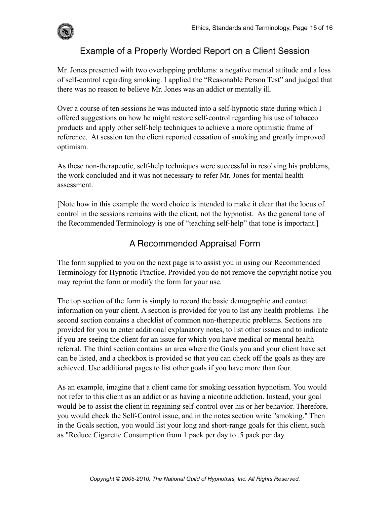

# Example of a Properly Worded Report on a Client Session

Mr. Jones presented with two overlapping problems: a negative mental attitude and a loss of self-control regarding smoking. I applied the "Reasonable Person Test" and judged that there was no reason to believe Mr. Jones was an addict or mentally ill.

Over a course of ten sessions he was inducted into a self-hypnotic state during which I offered suggestions on how he might restore self-control regarding his use of tobacco products and apply other self-help techniques to achieve a more optimistic frame of reference. At session ten the client reported cessation of smoking and greatly improved optimism.

As these non-therapeutic, self-help techniques were successful in resolving his problems, the work concluded and it was not necessary to refer Mr. Jones for mental health assessment.

[Note how in this example the word choice is intended to make it clear that the locus of control in the sessions remains with the client, not the hypnotist. As the general tone of the Recommended Terminology is one of "teaching self-help" that tone is important.]

## A Recommended Appraisal Form

The form supplied to you on the next page is to assist you in using our Recommended Terminology for Hypnotic Practice. Provided you do not remove the copyright notice you may reprint the form or modify the form for your use.

The top section of the form is simply to record the basic demographic and contact information on your client. A section is provided for you to list any health problems. The second section contains a checklist of common non-therapeutic problems. Sections are provided for you to enter additional explanatory notes, to list other issues and to indicate if you are seeing the client for an issue for which you have medical or mental health referral. The third section contains an area where the Goals you and your client have set can be listed, and a checkbox is provided so that you can check off the goals as they are achieved. Use additional pages to list other goals if you have more than four.

As an example, imagine that a client came for smoking cessation hypnotism. You would not refer to this client as an addict or as having a nicotine addiction. Instead, your goal would be to assist the client in regaining self-control over his or her behavior. Therefore, you would check the Self-Control issue, and in the notes section write "smoking." Then in the Goals section, you would list your long and short-range goals for this client, such as "Reduce Cigarette Consumption from 1 pack per day to .5 pack per day.